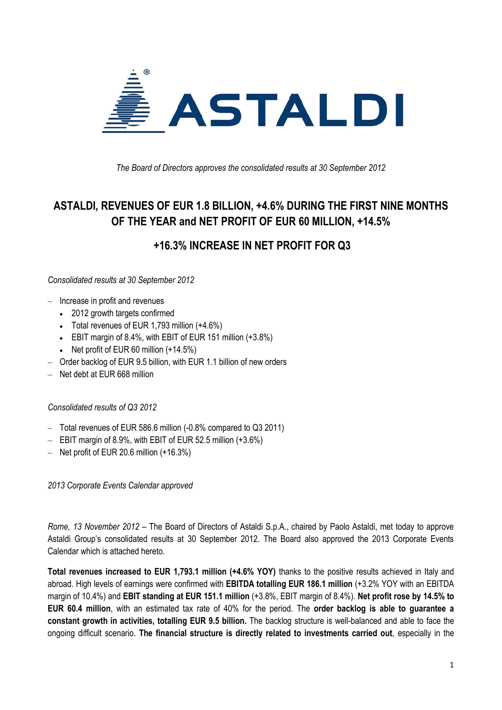

*The Board of Directors approves the consolidated results at 30 September 2012* 

## **ASTALDI, REVENUES OF EUR 1.8 BILLION, +4.6% DURING THE FIRST NINE MONTHS OF THE YEAR and NET PROFIT OF EUR 60 MILLION, +14.5%**

**+16.3% INCREASE IN NET PROFIT FOR Q3**

*Consolidated results at 30 September 2012*

- ‒ Increase in profit and revenues
	- 2012 growth targets confirmed
	- Total revenues of EUR 1,793 million (+4.6%)
	- EBIT margin of 8.4%, with EBIT of EUR 151 million (+3.8%)
	- $\bullet$  Net profit of EUR 60 million  $(+14.5\%)$
- Order backlog of EUR 9.5 billion, with EUR 1.1 billion of new orders
- ‒ Net debt at EUR 668 million

#### *Consolidated results of Q3 2012*

- ‒ Total revenues of EUR 586.6 million (-0.8% compared to Q3 2011)
- $-$  EBIT margin of 8.9%, with EBIT of EUR 52.5 million  $(+3.6%)$
- $-$  Net profit of EUR 20.6 million  $(+16.3%)$

*2013 Corporate Events Calendar approved*

*Rome, 13 November 2012* – The Board of Directors of Astaldi S.p.A., chaired by Paolo Astaldi, met today to approve Astaldi Group's consolidated results at 30 September 2012. The Board also approved the 2013 Corporate Events Calendar which is attached hereto.

**Total revenues increased to EUR 1,793.1 million (+4.6% YOY)** thanks to the positive results achieved in Italy and abroad. High levels of earnings were confirmed with **EBITDA totalling EUR 186.1 million** (+3.2% YOY with an EBITDA margin of 10.4%) and **EBIT standing at EUR 151.1 million** (+3.8%, EBIT margin of 8.4%). **Net profit rose by 14.5% to EUR 60.4 million**, with an estimated tax rate of 40% for the period. The **order backlog is able to guarantee a constant growth in activities, totalling EUR 9.5 billion.** The backlog structure is well-balanced and able to face the ongoing difficult scenario. **The financial structure is directly related to investments carried out**, especially in the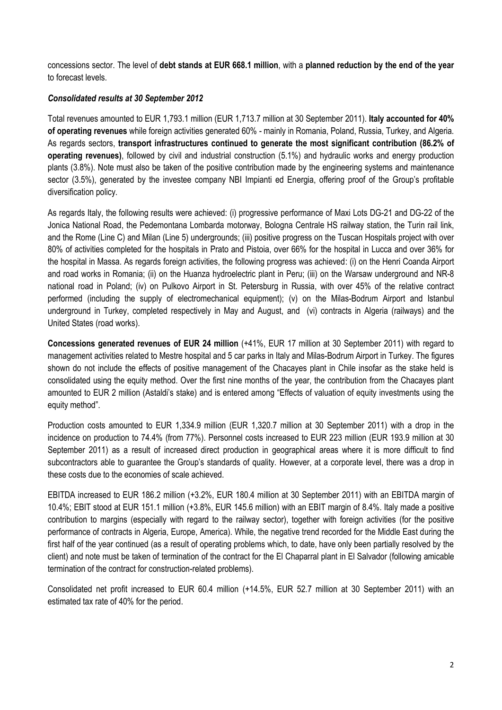concessions sector. The level of **debt stands at EUR 668.1 million**, with a **planned reduction by the end of the year** to forecast levels.

#### *Consolidated results at 30 September 2012*

Total revenues amounted to EUR 1,793.1 million (EUR 1,713.7 million at 30 September 2011). **Italy accounted for 40% of operating revenues** while foreign activities generated 60% - mainly in Romania, Poland, Russia, Turkey, and Algeria. As regards sectors, **transport infrastructures continued to generate the most significant contribution (86.2% of operating revenues)**, followed by civil and industrial construction (5.1%) and hydraulic works and energy production plants (3.8%). Note must also be taken of the positive contribution made by the engineering systems and maintenance sector (3.5%), generated by the investee company NBI Impianti ed Energia, offering proof of the Group's profitable diversification policy.

As regards Italy, the following results were achieved: (i) progressive performance of Maxi Lots DG-21 and DG-22 of the Jonica National Road, the Pedemontana Lombarda motorway, Bologna Centrale HS railway station, the Turin rail link, and the Rome (Line C) and Milan (Line 5) undergrounds; (iii) positive progress on the Tuscan Hospitals project with over 80% of activities completed for the hospitals in Prato and Pistoia, over 66% for the hospital in Lucca and over 36% for the hospital in Massa. As regards foreign activities, the following progress was achieved: (i) on the Henri Coanda Airport and road works in Romania; (ii) on the Huanza hydroelectric plant in Peru; (iii) on the Warsaw underground and NR-8 national road in Poland; (iv) on Pulkovo Airport in St. Petersburg in Russia, with over 45% of the relative contract performed (including the supply of electromechanical equipment); (v) on the Milas-Bodrum Airport and Istanbul underground in Turkey, completed respectively in May and August, and (vi) contracts in Algeria (railways) and the United States (road works).

**Concessions generated revenues of EUR 24 million** (+41%, EUR 17 million at 30 September 2011) with regard to management activities related to Mestre hospital and 5 car parks in Italy and Milas-Bodrum Airport in Turkey. The figures shown do not include the effects of positive management of the Chacayes plant in Chile insofar as the stake held is consolidated using the equity method. Over the first nine months of the year, the contribution from the Chacayes plant amounted to EUR 2 million (Astaldi's stake) and is entered among "Effects of valuation of equity investments using the equity method".

Production costs amounted to EUR 1,334.9 million (EUR 1,320.7 million at 30 September 2011) with a drop in the incidence on production to 74.4% (from 77%). Personnel costs increased to EUR 223 million (EUR 193.9 million at 30 September 2011) as a result of increased direct production in geographical areas where it is more difficult to find subcontractors able to guarantee the Group's standards of quality. However, at a corporate level, there was a drop in these costs due to the economies of scale achieved.

EBITDA increased to EUR 186.2 million (+3.2%, EUR 180.4 million at 30 September 2011) with an EBITDA margin of 10.4%; EBIT stood at EUR 151.1 million (+3.8%, EUR 145.6 million) with an EBIT margin of 8.4%. Italy made a positive contribution to margins (especially with regard to the railway sector), together with foreign activities (for the positive performance of contracts in Algeria, Europe, America). While, the negative trend recorded for the Middle East during the first half of the year continued (as a result of operating problems which, to date, have only been partially resolved by the client) and note must be taken of termination of the contract for the El Chaparral plant in El Salvador (following amicable termination of the contract for construction-related problems).

Consolidated net profit increased to EUR 60.4 million (+14.5%, EUR 52.7 million at 30 September 2011) with an estimated tax rate of 40% for the period.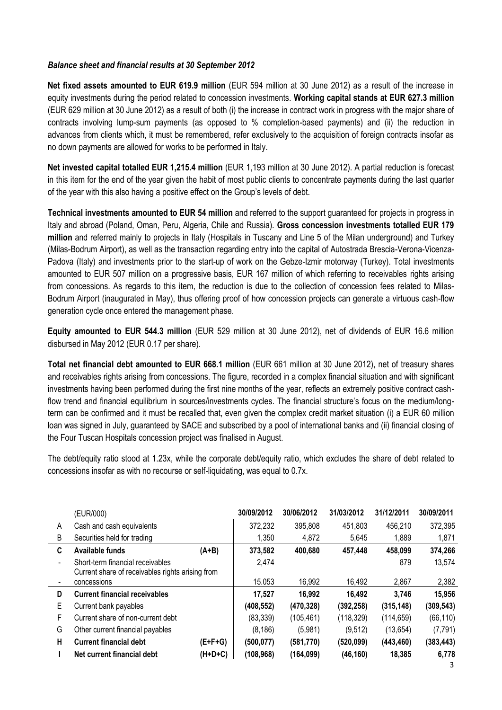#### *Balance sheet and financial results at 30 September 2012*

**Net fixed assets amounted to EUR 619.9 million** (EUR 594 million at 30 June 2012) as a result of the increase in equity investments during the period related to concession investments. **Working capital stands at EUR 627.3 million** (EUR 629 million at 30 June 2012) as a result of both (i) the increase in contract work in progress with the major share of contracts involving lump-sum payments (as opposed to % completion-based payments) and (ii) the reduction in advances from clients which, it must be remembered, refer exclusively to the acquisition of foreign contracts insofar as no down payments are allowed for works to be performed in Italy.

**Net invested capital totalled EUR 1,215.4 million** (EUR 1,193 million at 30 June 2012). A partial reduction is forecast in this item for the end of the year given the habit of most public clients to concentrate payments during the last quarter of the year with this also having a positive effect on the Group's levels of debt.

**Technical investments amounted to EUR 54 million** and referred to the support guaranteed for projects in progress in Italy and abroad (Poland, Oman, Peru, Algeria, Chile and Russia). **Gross concession investments totalled EUR 179 million** and referred mainly to projects in Italy (Hospitals in Tuscany and Line 5 of the Milan underground) and Turkey (Milas-Bodrum Airport), as well as the transaction regarding entry into the capital of Autostrada Brescia-Verona-Vicenza-Padova (Italy) and investments prior to the start-up of work on the Gebze-Izmir motorway (Turkey). Total investments amounted to EUR 507 million on a progressive basis, EUR 167 million of which referring to receivables rights arising from concessions. As regards to this item, the reduction is due to the collection of concession fees related to Milas-Bodrum Airport (inaugurated in May), thus offering proof of how concession projects can generate a virtuous cash-flow generation cycle once entered the management phase.

**Equity amounted to EUR 544.3 million** (EUR 529 million at 30 June 2012), net of dividends of EUR 16.6 million disbursed in May 2012 (EUR 0.17 per share).

**Total net financial debt amounted to EUR 668.1 million** (EUR 661 million at 30 June 2012), net of treasury shares and receivables rights arising from concessions. The figure, recorded in a complex financial situation and with significant investments having been performed during the first nine months of the year, reflects an extremely positive contract cashflow trend and financial equilibrium in sources/investments cycles. The financial structure's focus on the medium/longterm can be confirmed and it must be recalled that, even given the complex credit market situation (i) a EUR 60 million loan was signed in July, guaranteed by SACE and subscribed by a pool of international banks and (ii) financial closing of the Four Tuscan Hospitals concession project was finalised in August.

The debt/equity ratio stood at 1.23x, while the corporate debt/equity ratio, which excludes the share of debt related to concessions insofar as with no recourse or self-liquidating, was equal to 0.7x.

|   | (EUR/000)                                        |         | 30/09/2012 | 30/06/2012 | 31/03/2012 | 31/12/2011 | 30/09/2011 |
|---|--------------------------------------------------|---------|------------|------------|------------|------------|------------|
| A | Cash and cash equivalents                        |         | 372,232    | 395,808    | 451,803    | 456,210    | 372,395    |
| B | Securities held for trading                      |         | 1,350      | 4,872      | 5,645      | 1,889      | 1,871      |
| C | Available funds                                  | $(A+B)$ | 373,582    | 400,680    | 457,448    | 458,099    | 374,266    |
|   | Short-term financial receivables                 |         | 2.474      |            |            | 879        | 13,574     |
|   | Current share of receivables rights arising from |         |            |            |            |            |            |
|   | concessions                                      |         | 15.053     | 16,992     | 16,492     | 2,867      | 2,382      |
| D | <b>Current financial receivables</b>             |         | 17.527     | 16,992     | 16,492     | 3,746      | 15,956     |
| Е | Current bank payables                            |         | (408, 552) | (470, 328) | (392, 258) | (315, 148) | (309, 543) |
| F | Current share of non-current debt                |         | (83, 339)  | (105,461)  | (118, 329) | (114, 659) | (66, 110)  |
| G | Other current financial payables                 |         | (8, 186)   | (5,981)    | (9,512)    | (13, 654)  | (7, 791)   |
| н | <b>Current financial debt</b>                    | (E+F+G) | (500, 077) | (581, 770) | (520,099)  | (443, 460) | (383, 443) |
|   | Net current financial debt                       | (H+D+C) | (108, 968) | (164,099)  | (46, 160)  | 18,385     | 6,778      |
|   |                                                  |         |            |            |            |            |            |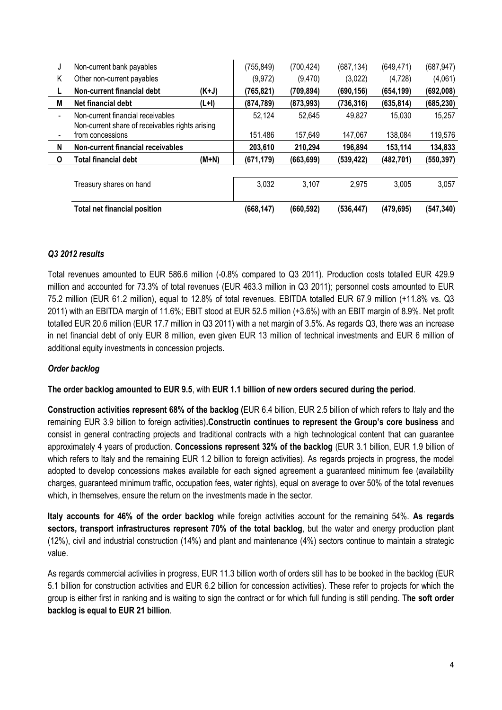| J                        | Non-current bank payables                                                            |         | (755, 849) | (700, 424) | (687, 134) | (649, 471) | (687, 947) |
|--------------------------|--------------------------------------------------------------------------------------|---------|------------|------------|------------|------------|------------|
| Κ                        | Other non-current payables                                                           |         | (9, 972)   | (9,470)    | (3,022)    | (4, 728)   | (4,061)    |
|                          | Non-current financial debt                                                           | $(K+J)$ | (765,821)  | (709,894)  | (690, 156) | (654, 199) | (692,008)  |
| M                        | Net financial debt                                                                   | $(L+I)$ | (874, 789) | (873,993)  | (736.316)  | (635, 814) | (685, 230) |
| $\overline{\phantom{0}}$ | Non-current financial receivables<br>Non-current share of receivables rights arising |         | 52,124     | 52,645     | 49,827     | 15,030     | 15,257     |
| $\blacksquare$           | from concessions                                                                     |         | 151.486    | 157.649    | 147.067    | 138,084    | 119,576    |
| N                        | Non-current financial receivables                                                    |         | 203,610    | 210.294    | 196.894    | 153,114    | 134,833    |
| 0                        | <b>Total financial debt</b>                                                          | $(M+N)$ | (671, 179) | (663, 699) | (539, 422) | (482, 701) | (550, 397) |
|                          | Treasury shares on hand                                                              |         | 3,032      | 3,107      | 2,975      | 3,005      | 3,057      |
|                          | <b>Total net financial position</b>                                                  |         | (668,147)  | (660, 592) | (536, 447) | (479, 695) | (547, 340) |

### *Q3 2012 results*

Total revenues amounted to EUR 586.6 million (-0.8% compared to Q3 2011). Production costs totalled EUR 429.9 million and accounted for 73.3% of total revenues (EUR 463.3 million in Q3 2011); personnel costs amounted to EUR 75.2 million (EUR 61.2 million), equal to 12.8% of total revenues. EBITDA totalled EUR 67.9 million (+11.8% vs. Q3 2011) with an EBITDA margin of 11.6%; EBIT stood at EUR 52.5 million (+3.6%) with an EBIT margin of 8.9%. Net profit totalled EUR 20.6 million (EUR 17.7 million in Q3 2011) with a net margin of 3.5%. As regards Q3, there was an increase in net financial debt of only EUR 8 million, even given EUR 13 million of technical investments and EUR 6 million of additional equity investments in concession projects.

#### *Order backlog*

**The order backlog amounted to EUR 9.5**, with **EUR 1.1 billion of new orders secured during the period**.

**Construction activities represent 68% of the backlog (**EUR 6.4 billion, EUR 2.5 billion of which refers to Italy and the remaining EUR 3.9 billion to foreign activities)**.Constructin continues to represent the Group's core business** and consist in general contracting projects and traditional contracts with a high technological content that can guarantee approximately 4 years of production. **Concessions represent 32% of the backlog** (EUR 3.1 billion, EUR 1.9 billion of which refers to Italy and the remaining EUR 1.2 billion to foreign activities). As regards projects in progress, the model adopted to develop concessions makes available for each signed agreement a guaranteed minimum fee (availability charges, guaranteed minimum traffic, occupation fees, water rights), equal on average to over 50% of the total revenues which, in themselves, ensure the return on the investments made in the sector.

**Italy accounts for 46% of the order backlog** while foreign activities account for the remaining 54%. **As regards sectors, transport infrastructures represent 70% of the total backlog**, but the water and energy production plant (12%), civil and industrial construction (14%) and plant and maintenance (4%) sectors continue to maintain a strategic value.

As regards commercial activities in progress, EUR 11.3 billion worth of orders still has to be booked in the backlog (EUR 5.1 billion for construction activities and EUR 6.2 billion for concession activities). These refer to projects for which the group is either first in ranking and is waiting to sign the contract or for which full funding is still pending. T**he soft order backlog is equal to EUR 21 billion**.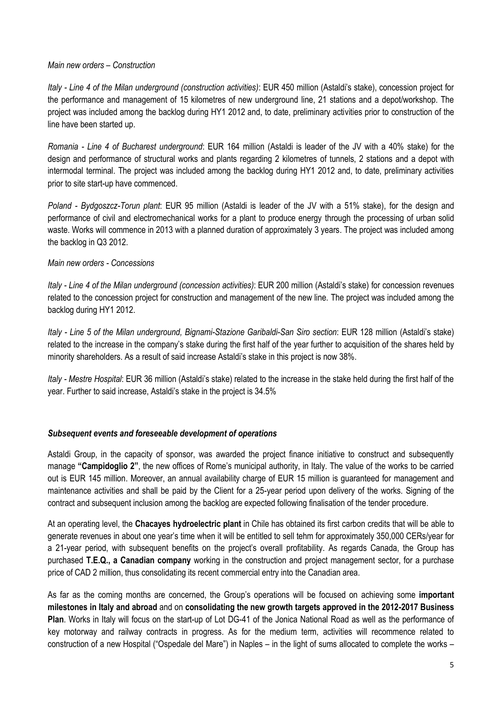#### *Main new orders – Construction*

*Italy - Line 4 of the Milan underground (construction activities)*: EUR 450 million (Astaldi's stake), concession project for the performance and management of 15 kilometres of new underground line, 21 stations and a depot/workshop. The project was included among the backlog during HY1 2012 and, to date, preliminary activities prior to construction of the line have been started up.

*Romania - Line 4 of Bucharest underground*: EUR 164 million (Astaldi is leader of the JV with a 40% stake) for the design and performance of structural works and plants regarding 2 kilometres of tunnels, 2 stations and a depot with intermodal terminal. The project was included among the backlog during HY1 2012 and, to date, preliminary activities prior to site start-up have commenced.

*Poland - Bydgoszcz-Torun plant*: EUR 95 million (Astaldi is leader of the JV with a 51% stake), for the design and performance of civil and electromechanical works for a plant to produce energy through the processing of urban solid waste. Works will commence in 2013 with a planned duration of approximately 3 years. The project was included among the backlog in Q3 2012.

#### *Main new orders - Concessions*

*Italy - Line 4 of the Milan underground (concession activities)*: EUR 200 million (Astaldi's stake) for concession revenues related to the concession project for construction and management of the new line. The project was included among the backlog during HY1 2012.

*Italy - Line 5 of the Milan underground, Bignami-Stazione Garibaldi-San Siro section*: EUR 128 million (Astaldi's stake) related to the increase in the company's stake during the first half of the year further to acquisition of the shares held by minority shareholders. As a result of said increase Astaldi's stake in this project is now 38%.

*Italy - Mestre Hospital*: EUR 36 million (Astaldi's stake) related to the increase in the stake held during the first half of the year. Further to said increase, Astaldi's stake in the project is 34.5%

#### *Subsequent events and foreseeable development of operations*

Astaldi Group, in the capacity of sponsor, was awarded the project finance initiative to construct and subsequently manage **"Campidoglio 2"**, the new offices of Rome's municipal authority, in Italy. The value of the works to be carried out is EUR 145 million. Moreover, an annual availability charge of EUR 15 million is guaranteed for management and maintenance activities and shall be paid by the Client for a 25-year period upon delivery of the works. Signing of the contract and subsequent inclusion among the backlog are expected following finalisation of the tender procedure.

At an operating level, the **Chacayes hydroelectric plant** in Chile has obtained its first carbon credits that will be able to generate revenues in about one year's time when it will be entitled to sell tehm for approximately 350,000 CERs/year for a 21-year period, with subsequent benefits on the project's overall profitability. As regards Canada, the Group has purchased **T.E.Q., a Canadian company** working in the construction and project management sector, for a purchase price of CAD 2 million, thus consolidating its recent commercial entry into the Canadian area.

As far as the coming months are concerned, the Group's operations will be focused on achieving some **important milestones in Italy and abroad** and on **consolidating the new growth targets approved in the 2012-2017 Business Plan**. Works in Italy will focus on the start-up of Lot DG-41 of the Jonica National Road as well as the performance of key motorway and railway contracts in progress. As for the medium term, activities will recommence related to construction of a new Hospital ("Ospedale del Mare") in Naples – in the light of sums allocated to complete the works –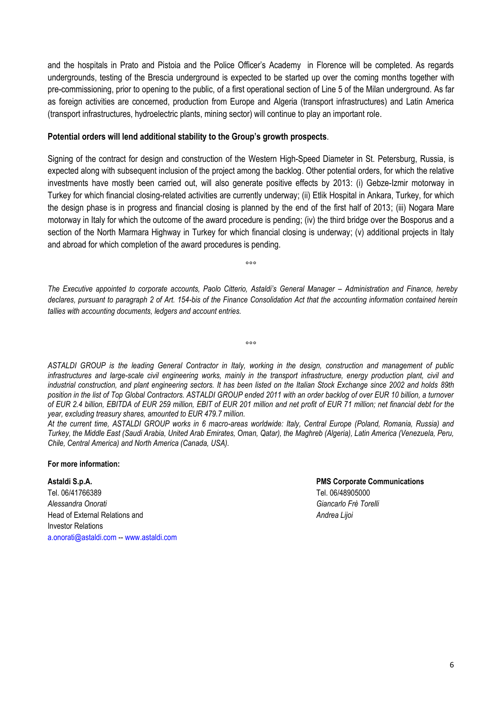and the hospitals in Prato and Pistoia and the Police Officer's Academy in Florence will be completed. As regards undergrounds, testing of the Brescia underground is expected to be started up over the coming months together with pre-commissioning, prior to opening to the public, of a first operational section of Line 5 of the Milan underground. As far as foreign activities are concerned, production from Europe and Algeria (transport infrastructures) and Latin America (transport infrastructures, hydroelectric plants, mining sector) will continue to play an important role.

#### **Potential orders will lend additional stability to the Group's growth prospects**.

Signing of the contract for design and construction of the Western High-Speed Diameter in St. Petersburg, Russia, is expected along with subsequent inclusion of the project among the backlog. Other potential orders, for which the relative investments have mostly been carried out, will also generate positive effects by 2013: (i) Gebze-Izmir motorway in Turkey for which financial closing-related activities are currently underway; (ii) Etlik Hospital in Ankara, Turkey, for which the design phase is in progress and financial closing is planned by the end of the first half of 2013; (iii) Nogara Mare motorway in Italy for which the outcome of the award procedure is pending; (iv) the third bridge over the Bosporus and a section of the North Marmara Highway in Turkey for which financial closing is underway; (v) additional projects in Italy and abroad for which completion of the award procedures is pending.

 $000$ 

*The Executive appointed to corporate accounts, Paolo Citterio, Astaldi's General Manager – Administration and Finance, hereby declares, pursuant to paragraph 2 of Art. 154-bis of the Finance Consolidation Act that the accounting information contained herein tallies with accounting documents, ledgers and account entries.*

*ASTALDI GROUP is the leading General Contractor in Italy, working in the design, construction and management of public infrastructures and large-scale civil engineering works, mainly in the transport infrastructure, energy production plant, civil and industrial construction, and plant engineering sectors. It has been listed on the Italian Stock Exchange since 2002 and holds 89th position in the list of Top Global Contractors. ASTALDI GROUP ended 2011 with an order backlog of over EUR 10 billion, a turnover of EUR 2.4 billion, EBITDA of EUR 259 million, EBIT of EUR 201 million and net profit of EUR 71 million; net financial debt for the year, excluding treasury shares, amounted to EUR 479.7 million.* 

 $000$ 

*At the current time, ASTALDI GROUP works in 6 macro-areas worldwide: Italy, Central Europe (Poland, Romania, Russia) and Turkey, the Middle East (Saudi Arabia, United Arab Emirates, Oman, Qatar), the Maghreb (Algeria), Latin America (Venezuela, Peru, Chile, Central America) and North America (Canada, USA).*

#### **For more information:**

**Astaldi S.p.A. PMS Corporate Communications** Tel. 06/41766389 Tel. 06/48905000 *Alessandra Onorati Giancarlo Frè Torelli* Head of External Relations and *Andrea Lijoi* Investor Relations a.onorati@astaldi.com -- www.astaldi.com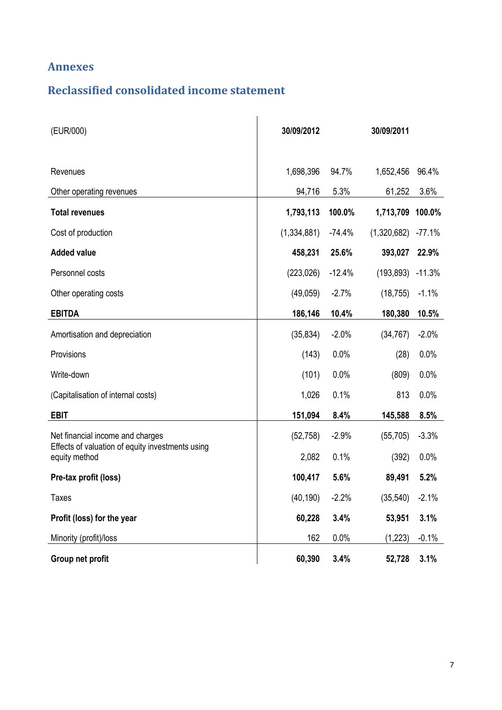### **Annexes**

## **Reclassified consolidated income statement**

| (EUR/000)                                                         | 30/09/2012  |          | 30/09/2011  |          |
|-------------------------------------------------------------------|-------------|----------|-------------|----------|
| Revenues                                                          | 1,698,396   | 94.7%    | 1,652,456   | 96.4%    |
| Other operating revenues                                          | 94,716      | 5.3%     | 61,252      | 3.6%     |
| <b>Total revenues</b>                                             | 1,793,113   | 100.0%   | 1,713,709   | 100.0%   |
| Cost of production                                                | (1,334,881) | $-74.4%$ | (1,320,682) | $-77.1%$ |
| <b>Added value</b>                                                | 458,231     | 25.6%    | 393,027     | 22.9%    |
| Personnel costs                                                   | (223, 026)  | $-12.4%$ | (193, 893)  | $-11.3%$ |
| Other operating costs                                             | (49,059)    | $-2.7%$  | (18, 755)   | $-1.1%$  |
| <b>EBITDA</b>                                                     | 186,146     | 10.4%    | 180,380     | 10.5%    |
| Amortisation and depreciation                                     | (35, 834)   | $-2.0%$  | (34, 767)   | $-2.0%$  |
| Provisions                                                        | (143)       | 0.0%     | (28)        | 0.0%     |
| Write-down                                                        | (101)       | 0.0%     | (809)       | 0.0%     |
| (Capitalisation of internal costs)                                | 1,026       | 0.1%     | 813         | 0.0%     |
| <b>EBIT</b>                                                       | 151,094     | 8.4%     | 145,588     | 8.5%     |
| Net financial income and charges                                  | (52, 758)   | $-2.9%$  | (55, 705)   | $-3.3%$  |
| Effects of valuation of equity investments using<br>equity method | 2,082       | 0.1%     | (392)       | 0.0%     |
| Pre-tax profit (loss)                                             | 100,417     | 5.6%     | 89,491      | 5.2%     |
| <b>Taxes</b>                                                      | (40, 190)   | $-2.2%$  | (35, 540)   | $-2.1%$  |
| Profit (loss) for the year                                        | 60,228      | 3.4%     | 53,951      | 3.1%     |
| Minority (profit)/loss                                            | 162         | 0.0%     | (1, 223)    | $-0.1%$  |
| Group net profit                                                  | 60,390      | 3.4%     | 52,728      | 3.1%     |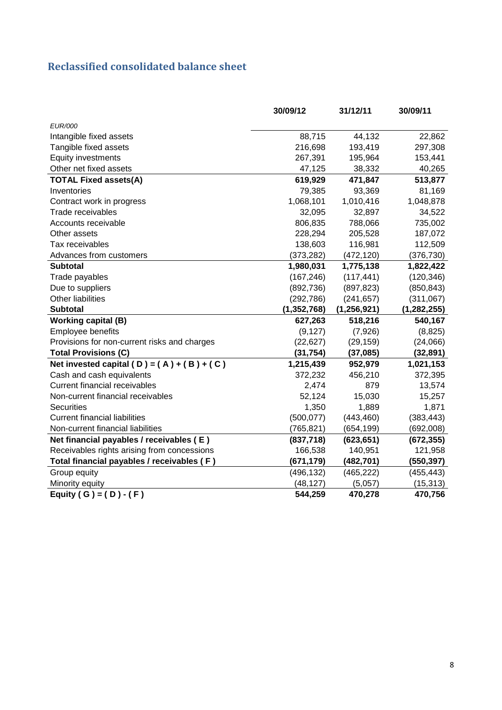## **Reclassified consolidated balance sheet**

|                                              | 30/09/12      | 31/12/11      | 30/09/11      |
|----------------------------------------------|---------------|---------------|---------------|
| <b>EUR/000</b>                               |               |               |               |
| Intangible fixed assets                      | 88,715        | 44,132        | 22,862        |
| Tangible fixed assets                        | 216,698       | 193,419       | 297,308       |
| Equity investments                           | 267,391       | 195,964       | 153,441       |
| Other net fixed assets                       | 47,125        | 38,332        | 40,265        |
| <b>TOTAL Fixed assets(A)</b>                 | 619,929       | 471,847       | 513,877       |
| Inventories                                  | 79,385        | 93,369        | 81,169        |
| Contract work in progress                    | 1,068,101     | 1,010,416     | 1,048,878     |
| Trade receivables                            | 32,095        | 32,897        | 34,522        |
| Accounts receivable                          | 806,835       | 788,066       | 735,002       |
| Other assets                                 | 228,294       | 205,528       | 187,072       |
| Tax receivables                              | 138,603       | 116,981       | 112,509       |
| Advances from customers                      | (373, 282)    | (472, 120)    | (376, 730)    |
| <b>Subtotal</b>                              | 1,980,031     | 1,775,138     | 1,822,422     |
| Trade payables                               | (167, 246)    | (117, 441)    | (120, 346)    |
| Due to suppliers                             | (892, 736)    | (897, 823)    | (850, 843)    |
| Other liabilities                            | (292, 786)    | (241, 657)    | (311,067)     |
| <b>Subtotal</b>                              | (1, 352, 768) | (1, 256, 921) | (1, 282, 255) |
| <b>Working capital (B)</b>                   | 627,263       | 518,216       | 540,167       |
| Employee benefits                            | (9, 127)      | (7,926)       | (8, 825)      |
| Provisions for non-current risks and charges | (22, 627)     | (29, 159)     | (24,066)      |
| <b>Total Provisions (C)</b>                  | (31, 754)     | (37,085)      | (32, 891)     |
| Net invested capital (D) = $(A) + (B) + (C)$ | 1,215,439     | 952,979       | 1,021,153     |
| Cash and cash equivalents                    | 372,232       | 456,210       | 372,395       |
| <b>Current financial receivables</b>         | 2,474         | 879           | 13,574        |
| Non-current financial receivables            | 52,124        | 15,030        | 15,257        |
| <b>Securities</b>                            | 1,350         | 1,889         | 1,871         |
| <b>Current financial liabilities</b>         | (500, 077)    | (443, 460)    | (383, 443)    |
| Non-current financial liabilities            | (765, 821)    | (654, 199)    | (692,008)     |
| Net financial payables / receivables (E)     | (837,718)     | (623, 651)    | (672, 355)    |
| Receivables rights arising from concessions  | 166,538       | 140,951       | 121,958       |
| Total financial payables / receivables (F)   | (671,179)     | (482, 701)    | (550, 397)    |
| Group equity                                 | (496, 132)    | (465, 222)    | (455, 443)    |
| Minority equity                              | (48, 127)     | (5,057)       | (15, 313)     |
| Equity ( G ) = $(D) - (F)$                   | 544,259       | 470,278       | 470,756       |